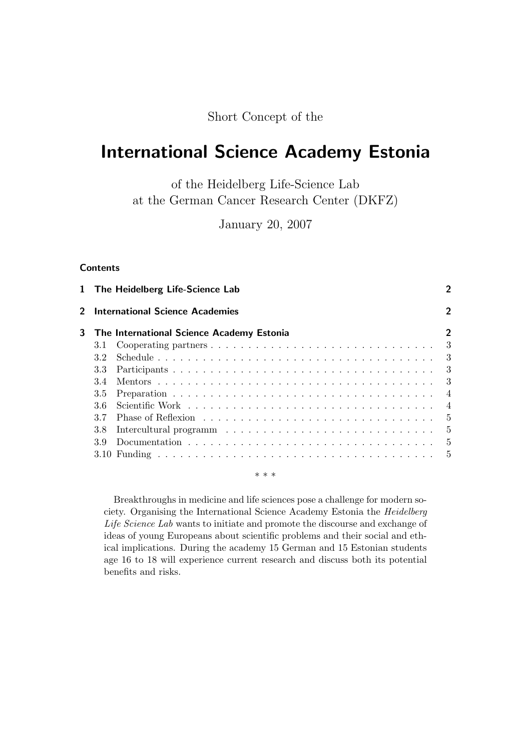Short Concept of the

# International Science Academy Estonia

of the Heidelberg Life-Science Lab at the German Cancer Research Center (DKFZ)

January 20, 2007

# **Contents**

|             | 1 The Heidelberg Life-Science Lab         | 2              |
|-------------|-------------------------------------------|----------------|
| $2^{\circ}$ | <b>International Science Academies</b>    | $\overline{2}$ |
| 3           | The International Science Academy Estonia | $\overline{2}$ |
|             | 3.1                                       |                |
|             | 3.2                                       |                |
|             | 3.3                                       |                |
|             | 3.4                                       |                |
|             | 3.5                                       |                |
|             | 36                                        |                |
|             | 37                                        |                |
|             | 3.8                                       |                |
|             | 39                                        |                |
|             |                                           |                |
|             | * * *                                     |                |

Breakthroughs in medicine and life sciences pose a challenge for modern society. Organising the International Science Academy Estonia the Heidelberg Life Science Lab wants to initiate and promote the discourse and exchange of ideas of young Europeans about scientific problems and their social and ethical implications. During the academy 15 German and 15 Estonian students age 16 to 18 will experience current research and discuss both its potential benefits and risks.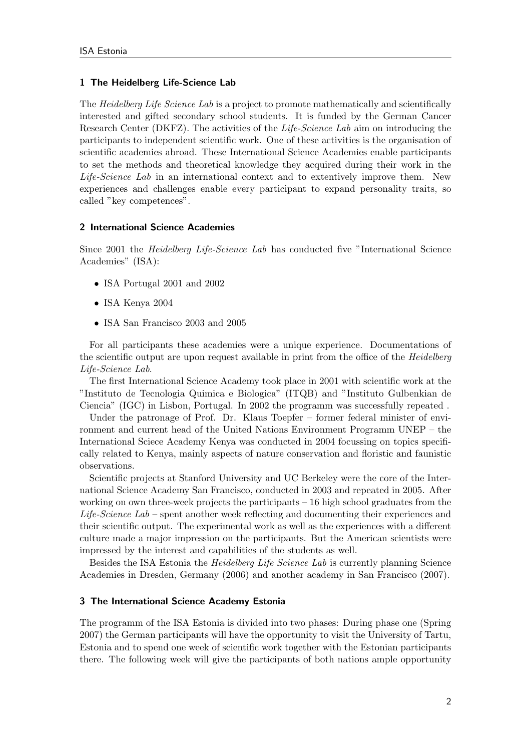## 1 The Heidelberg Life-Science Lab

The *Heidelberg Life Science Lab* is a project to promote mathematically and scientifically interested and gifted secondary school students. It is funded by the German Cancer Research Center (DKFZ). The activities of the *Life-Science Lab* aim on introducing the participants to independent scientific work. One of these activities is the organisation of scientific academies abroad. These International Science Academies enable participants to set the methods and theoretical knowledge they acquired during their work in the Life-Science Lab in an international context and to extentively improve them. New experiences and challenges enable every participant to expand personality traits, so called "key competences".

### 2 International Science Academies

Since 2001 the Heidelberg Life-Science Lab has conducted five "International Science Academies" (ISA):

- ISA Portugal 2001 and 2002
- ISA Kenya 2004
- ISA San Francisco 2003 and 2005

For all participants these academies were a unique experience. Documentations of the scientific output are upon request available in print from the office of the *Heidelberg* Life-Science Lab.

The first International Science Academy took place in 2001 with scientific work at the "Instituto de Tecnologia Quimica e Biologica" (ITQB) and "Instituto Gulbenkian de Ciencia" (IGC) in Lisbon, Portugal. In 2002 the programm was successfully repeated .

Under the patronage of Prof. Dr. Klaus Toepfer – former federal minister of environment and current head of the United Nations Environment Programm UNEP – the International Sciece Academy Kenya was conducted in 2004 focussing on topics specifically related to Kenya, mainly aspects of nature conservation and floristic and faunistic observations.

Scientific projects at Stanford University and UC Berkeley were the core of the International Science Academy San Francisco, conducted in 2003 and repeated in 2005. After working on own three-week projects the participants – 16 high school graduates from the Life-Science Lab – spent another week reflecting and documenting their experiences and their scientific output. The experimental work as well as the experiences with a different culture made a major impression on the participants. But the American scientists were impressed by the interest and capabilities of the students as well.

Besides the ISA Estonia the Heidelberg Life Science Lab is currently planning Science Academies in Dresden, Germany (2006) and another academy in San Francisco (2007).

### 3 The International Science Academy Estonia

The programm of the ISA Estonia is divided into two phases: During phase one (Spring 2007) the German participants will have the opportunity to visit the University of Tartu, Estonia and to spend one week of scientific work together with the Estonian participants there. The following week will give the participants of both nations ample opportunity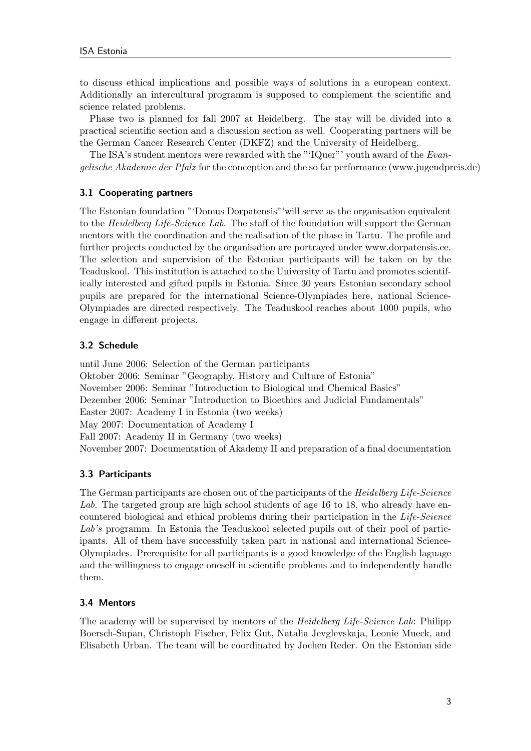to discuss ethical implications and possible ways of solutions in a european context. Additionally an intercultural programm is supposed to complement the scientific and science related problems.

Phase two is planned for fall 2007 at Heidelberg. The stay will be divided into a practical scientific section and a discussion section as well. Cooperating partners will be the German Cancer Research Center (DKFZ) and the University of Heidelberg.

The ISA's student mentors were rewarded with the "'IQuer"' youth award of the Evangelische Akademie der Pfalz for the conception and the so far performance (www.jugendpreis.de)

# 3.1 Cooperating partners

The Estonian foundation "'Domus Dorpatensis"'will serve as the organisation equivalent to the Heidelberg Life-Science Lab. The staff of the foundation will support the German mentors with the coordination and the realisation of the phase in Tartu. The profile and further projects conducted by the organisation are portrayed under www.dorpatensis.ee. The selection and supervision of the Estonian participants will be taken on by the Teaduskool. This institution is attached to the University of Tartu and promotes scientifically interested and gifted pupils in Estonia. Since 30 years Estonian secondary school pupils are prepared for the international Science-Olympiades here, national Science-Olympiades are directed respectively. The Teaduskool reaches about 1000 pupils, who engage in different projects.

# 3.2 Schedule

until June 2006: Selection of the German participants Oktober 2006: Seminar "Geography, History and Culture of Estonia" November 2006: Seminar "Introduction to Biological und Chemical Basics" Dezember 2006: Seminar "Introduction to Bioethics and Judicial Fundamentals" Easter 2007: Academy I in Estonia (two weeks) May 2007: Documentation of Academy I Fall 2007: Academy II in Germany (two weeks) November 2007: Documentation of Akademy II and preparation of a final documentation

# 3.3 Participants

The German participants are chosen out of the participants of the *Heidelberg Life-Science* Lab. The targeted group are high school students of age 16 to 18, who already have encountered biological and ethical problems during their participation in the Life-Science Lab's programm. In Estonia the Teaduskool selected pupils out of their pool of participants. All of them have successfully taken part in national and international Science-Olympiades. Prerequisite for all participants is a good knowledge of the English laguage and the willingness to engage oneself in scientific problems and to independently handle them.

# 3.4 Mentors

The academy will be supervised by mentors of the *Heidelberg Life-Science Lab*: Philipp Boersch-Supan, Christoph Fischer, Felix Gut, Natalia Jevglevskaja, Leonie Mueck, and Elisabeth Urban. The team will be coordinated by Jochen Reder. On the Estonian side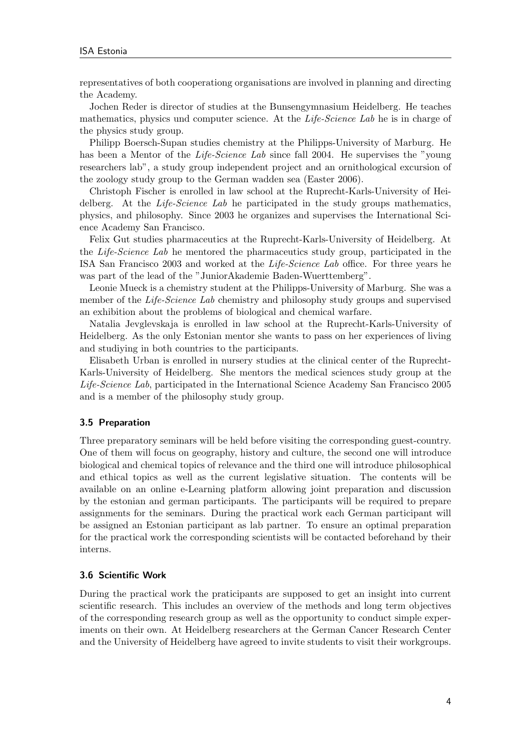representatives of both cooperationg organisations are involved in planning and directing the Academy.

Jochen Reder is director of studies at the Bunsengymnasium Heidelberg. He teaches mathematics, physics und computer science. At the *Life-Science Lab* he is in charge of the physics study group.

Philipp Boersch-Supan studies chemistry at the Philipps-University of Marburg. He has been a Mentor of the *Life-Science Lab* since fall 2004. He supervises the "young researchers lab", a study group independent project and an ornithological excursion of the zoology study group to the German wadden sea (Easter 2006).

Christoph Fischer is enrolled in law school at the Ruprecht-Karls-University of Heidelberg. At the Life-Science Lab he participated in the study groups mathematics, physics, and philosophy. Since 2003 he organizes and supervises the International Science Academy San Francisco.

Felix Gut studies pharmaceutics at the Ruprecht-Karls-University of Heidelberg. At the Life-Science Lab he mentored the pharmaceutics study group, participated in the ISA San Francisco 2003 and worked at the Life-Science Lab office. For three years he was part of the lead of the "JuniorAkademie Baden-Wuerttemberg".

Leonie Mueck is a chemistry student at the Philipps-University of Marburg. She was a member of the *Life-Science Lab* chemistry and philosophy study groups and supervised an exhibition about the problems of biological and chemical warfare.

Natalia Jevglevskaja is enrolled in law school at the Ruprecht-Karls-University of Heidelberg. As the only Estonian mentor she wants to pass on her experiences of living and studiying in both countries to the participants.

Elisabeth Urban is enrolled in nursery studies at the clinical center of the Ruprecht-Karls-University of Heidelberg. She mentors the medical sciences study group at the Life-Science Lab, participated in the International Science Academy San Francisco 2005 and is a member of the philosophy study group.

#### 3.5 Preparation

Three preparatory seminars will be held before visiting the corresponding guest-country. One of them will focus on geography, history and culture, the second one will introduce biological and chemical topics of relevance and the third one will introduce philosophical and ethical topics as well as the current legislative situation. The contents will be available on an online e-Learning platform allowing joint preparation and discussion by the estonian and german participants. The participants will be required to prepare assignments for the seminars. During the practical work each German participant will be assigned an Estonian participant as lab partner. To ensure an optimal preparation for the practical work the corresponding scientists will be contacted beforehand by their interns.

#### 3.6 Scientific Work

During the practical work the praticipants are supposed to get an insight into current scientific research. This includes an overview of the methods and long term objectives of the corresponding research group as well as the opportunity to conduct simple experiments on their own. At Heidelberg researchers at the German Cancer Research Center and the University of Heidelberg have agreed to invite students to visit their workgroups.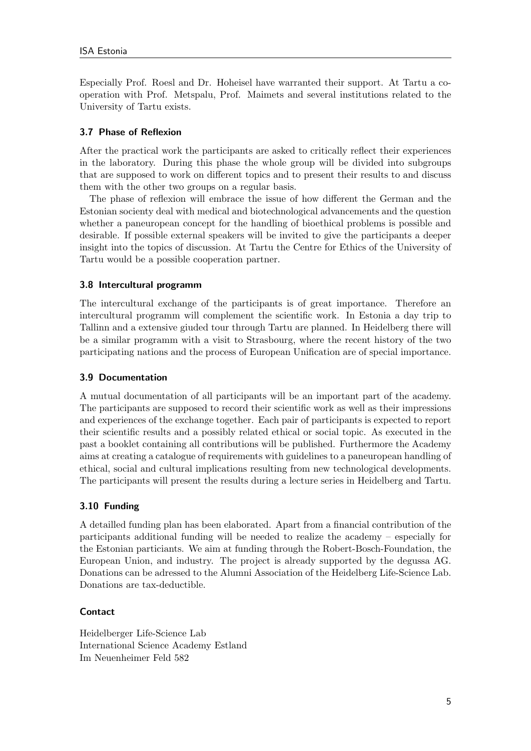Especially Prof. Roesl and Dr. Hoheisel have warranted their support. At Tartu a cooperation with Prof. Metspalu, Prof. Maimets and several institutions related to the University of Tartu exists.

# 3.7 Phase of Reflexion

After the practical work the participants are asked to critically reflect their experiences in the laboratory. During this phase the whole group will be divided into subgroups that are supposed to work on different topics and to present their results to and discuss them with the other two groups on a regular basis.

The phase of reflexion will embrace the issue of how different the German and the Estonian socienty deal with medical and biotechnological advancements and the question whether a paneuropean concept for the handling of bioethical problems is possible and desirable. If possible external speakers will be invited to give the participants a deeper insight into the topics of discussion. At Tartu the Centre for Ethics of the University of Tartu would be a possible cooperation partner.

# 3.8 Intercultural programm

The intercultural exchange of the participants is of great importance. Therefore an intercultural programm will complement the scientific work. In Estonia a day trip to Tallinn and a extensive giuded tour through Tartu are planned. In Heidelberg there will be a similar programm with a visit to Strasbourg, where the recent history of the two participating nations and the process of European Unification are of special importance.

# 3.9 Documentation

A mutual documentation of all participants will be an important part of the academy. The participants are supposed to record their scientific work as well as their impressions and experiences of the exchange together. Each pair of participants is expected to report their scientific results and a possibly related ethical or social topic. As executed in the past a booklet containing all contributions will be published. Furthermore the Academy aims at creating a catalogue of requirements with guidelines to a paneuropean handling of ethical, social and cultural implications resulting from new technological developments. The participants will present the results during a lecture series in Heidelberg and Tartu.

# 3.10 Funding

A detailled funding plan has been elaborated. Apart from a financial contribution of the participants additional funding will be needed to realize the academy – especially for the Estonian particiants. We aim at funding through the Robert-Bosch-Foundation, the European Union, and industry. The project is already supported by the degussa AG. Donations can be adressed to the Alumni Association of the Heidelberg Life-Science Lab. Donations are tax-deductible.

# **Contact**

Heidelberger Life-Science Lab International Science Academy Estland Im Neuenheimer Feld 582